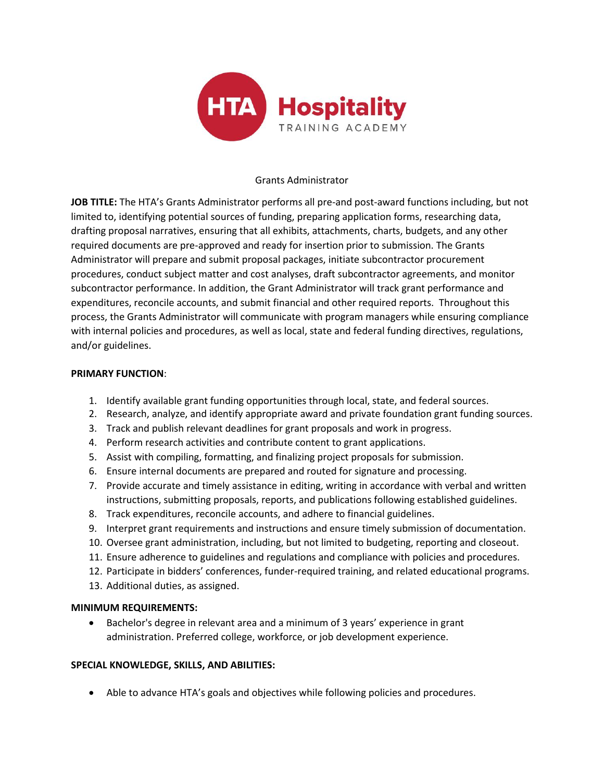

## Grants Administrator

**JOB TITLE:** The HTA's Grants Administrator performs all pre-and post-award functions including, but not limited to, identifying potential sources of funding, preparing application forms, researching data, drafting proposal narratives, ensuring that all exhibits, attachments, charts, budgets, and any other required documents are pre-approved and ready for insertion prior to submission. The Grants Administrator will prepare and submit proposal packages, initiate subcontractor procurement procedures, conduct subject matter and cost analyses, draft subcontractor agreements, and monitor subcontractor performance. In addition, the Grant Administrator will track grant performance and expenditures, reconcile accounts, and submit financial and other required reports. Throughout this process, the Grants Administrator will communicate with program managers while ensuring compliance with internal policies and procedures, as well as local, state and federal funding directives, regulations, and/or guidelines.

### **PRIMARY FUNCTION**:

- 1. Identify available grant funding opportunities through local, state, and federal sources.
- 2. Research, analyze, and identify appropriate award and private foundation grant funding sources.
- 3. Track and publish relevant deadlines for grant proposals and work in progress.
- 4. Perform research activities and contribute content to grant applications.
- 5. Assist with compiling, formatting, and finalizing project proposals for submission.
- 6. Ensure internal documents are prepared and routed for signature and processing.
- 7. Provide accurate and timely assistance in editing, writing in accordance with verbal and written instructions, submitting proposals, reports, and publications following established guidelines.
- 8. Track expenditures, reconcile accounts, and adhere to financial guidelines.
- 9. Interpret grant requirements and instructions and ensure timely submission of documentation.
- 10. Oversee grant administration, including, but not limited to budgeting, reporting and closeout.
- 11. Ensure adherence to guidelines and regulations and compliance with policies and procedures.
- 12. Participate in bidders' conferences, funder-required training, and related educational programs.
- 13. Additional duties, as assigned.

## **MINIMUM REQUIREMENTS:**

• Bachelor's degree in relevant area and a minimum of 3 years' experience in grant administration. Preferred college, workforce, or job development experience.

## **SPECIAL KNOWLEDGE, SKILLS, AND ABILITIES:**

• Able to advance HTA's goals and objectives while following policies and procedures.